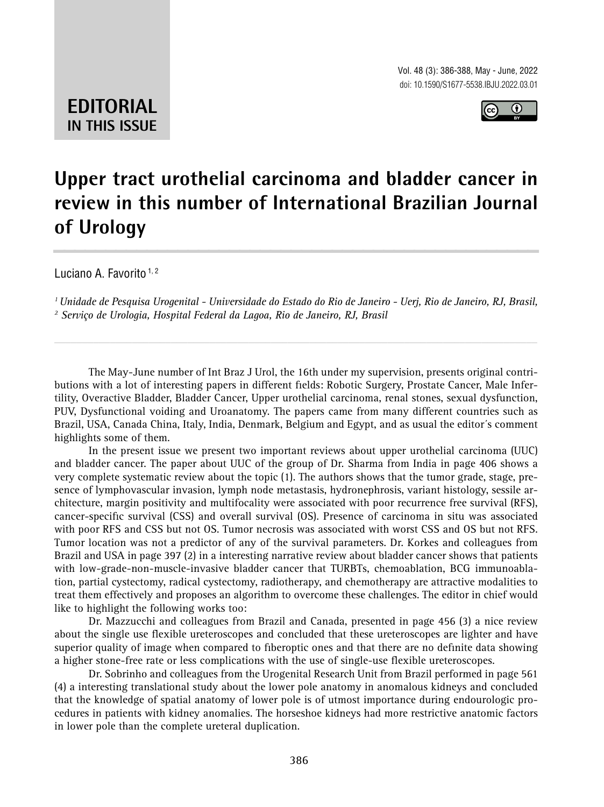Vol. 48 (3): 386-388, May - June, 2022 doi: 10.1590/S1677-5538.IBJU.2022.03.01



**EDITORIAL IN THIS ISSUE**

## **Upper tract urothelial carcinoma and bladder cancer in review in this number of International Brazilian Journal of Urology \_\_\_\_\_\_\_\_\_\_\_\_\_\_\_\_\_\_\_\_\_\_\_\_\_\_\_\_\_\_\_\_\_\_\_\_\_\_\_\_\_\_\_\_\_\_\_**

Luciano A. Favorito<sup>1,2</sup>

*1 Unidade de Pesquisa Urogenital - Universidade do Estado do Rio de Janeiro - Uerj, Rio de Janeiro, RJ, Brasil, 2 Serviço de Urologia, Hospital Federal da Lagoa, Rio de Janeiro, RJ, Brasil*

*\_\_\_\_\_\_\_\_\_\_\_\_\_\_\_\_\_\_\_\_\_\_\_\_\_\_\_\_\_\_\_\_\_\_\_\_\_\_\_\_\_\_\_\_\_\_\_\_\_\_\_\_\_\_\_\_\_\_\_\_\_\_\_\_\_\_\_\_\_\_\_\_\_\_\_\_\_\_\_\_\_\_\_\_\_\_\_*

The May-June number of Int Braz J Urol, the 16th under my supervision, presents original contributions with a lot of interesting papers in different fields: Robotic Surgery, Prostate Cancer, Male Infertility, Overactive Bladder, Bladder Cancer, Upper urothelial carcinoma, renal stones, sexual dysfunction, PUV, Dysfunctional voiding and Uroanatomy. The papers came from many different countries such as Brazil, USA, Canada China, Italy, India, Denmark, Belgium and Egypt, and as usual the editor´s comment highlights some of them.

In the present issue we present two important reviews about upper urothelial carcinoma (UUC) and bladder cancer. The paper about UUC of the group of Dr. Sharma from India in page 406 shows a very complete systematic review about the topic (1). The authors shows that the tumor grade, stage, presence of lymphovascular invasion, lymph node metastasis, hydronephrosis, variant histology, sessile architecture, margin positivity and multifocality were associated with poor recurrence free survival (RFS), cancer-specific survival (CSS) and overall survival (OS). Presence of carcinoma in situ was associated with poor RFS and CSS but not OS. Tumor necrosis was associated with worst CSS and OS but not RFS. Tumor location was not a predictor of any of the survival parameters. Dr. Korkes and colleagues from Brazil and USA in page 397 (2) in a interesting narrative review about bladder cancer shows that patients with low-grade-non-muscle-invasive bladder cancer that TURBTs, chemoablation, BCG immunoablation, partial cystectomy, radical cystectomy, radiotherapy, and chemotherapy are attractive modalities to treat them effectively and proposes an algorithm to overcome these challenges. The editor in chief would like to highlight the following works too:

Dr. Mazzucchi and colleagues from Brazil and Canada, presented in page 456 (3) a nice review about the single use flexible ureteroscopes and concluded that these ureteroscopes are lighter and have superior quality of image when compared to fiberoptic ones and that there are no definite data showing a higher stone-free rate or less complications with the use of single-use flexible ureteroscopes.

Dr. Sobrinho and colleagues from the Urogenital Research Unit from Brazil performed in page 561 (4) a interesting translational study about the lower pole anatomy in anomalous kidneys and concluded that the knowledge of spatial anatomy of lower pole is of utmost importance during endourologic procedures in patients with kidney anomalies. The horseshoe kidneys had more restrictive anatomic factors in lower pole than the complete ureteral duplication.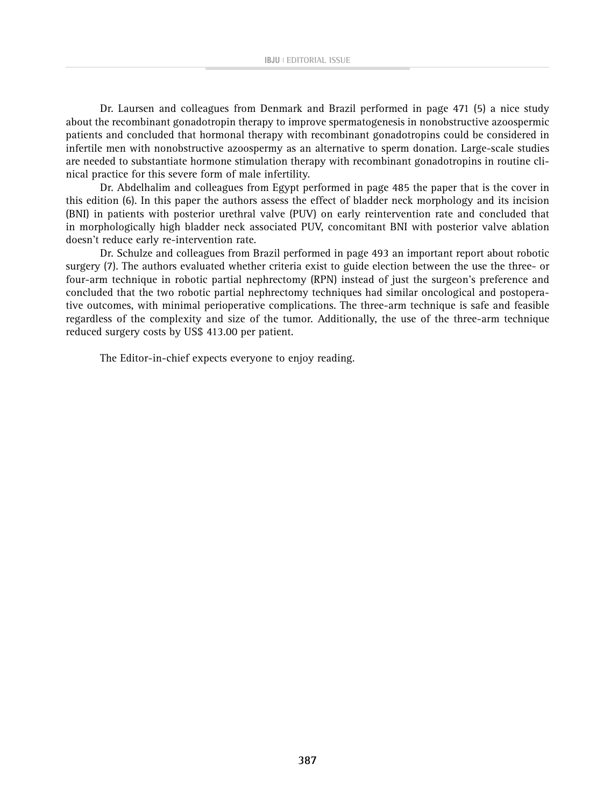Dr. Laursen and colleagues from Denmark and Brazil performed in page 471 (5) a nice study about the recombinant gonadotropin therapy to improve spermatogenesis in nonobstructive azoospermic patients and concluded that hormonal therapy with recombinant gonadotropins could be considered in infertile men with nonobstructive azoospermy as an alternative to sperm donation. Large-scale studies are needed to substantiate hormone stimulation therapy with recombinant gonadotropins in routine clinical practice for this severe form of male infertility.

Dr. Abdelhalim and colleagues from Egypt performed in page 485 the paper that is the cover in this edition (6). In this paper the authors assess the effect of bladder neck morphology and its incision (BNI) in patients with posterior urethral valve (PUV) on early reintervention rate and concluded that in morphologically high bladder neck associated PUV, concomitant BNI with posterior valve ablation doesn't reduce early re-intervention rate.

Dr. Schulze and colleagues from Brazil performed in page 493 an important report about robotic surgery (7). The authors evaluated whether criteria exist to guide election between the use the three- or four-arm technique in robotic partial nephrectomy (RPN) instead of just the surgeon's preference and concluded that the two robotic partial nephrectomy techniques had similar oncological and postoperative outcomes, with minimal perioperative complications. The three-arm technique is safe and feasible regardless of the complexity and size of the tumor. Additionally, the use of the three-arm technique reduced surgery costs by US\$ 413.00 per patient.

The Editor-in-chief expects everyone to enjoy reading.